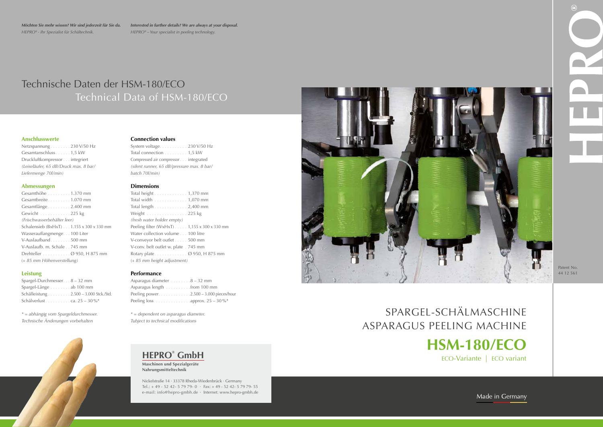Patent No. 44 12 561

## Technische Daten der HSM-180/ECO Technical Data of HSM-180/ECO

*Möchten Sie mehr wissen? Wir sind jederzeit für Sie da. HEPRO® - Ihr Spezialist für Schältechnik.*

### **HEPRO® GmbH**

**Maschinen und Spezialgeräte Nahrungsmitteltechnik**

Netzspannung . . . . . . . . 230 V/50 Hz Gesamtanschluss . . . . . . 1,5 kW Druckluftkompressor . . . integriert *(Leiseläufer, 65 dB/Druck max. 8 bar/ Liefermenge 70l/min)*

> Nickelstraße 14 · 33378 Rheda-Wiedenbrück · Germany Tel.: + 49 - 52 42- 5 79 79- 0 · Fax: + 49 - 52 42- 5 79 79- 55 e-mail: info@hepro-gmbh.de · Internet: www.hepro-gmbh.de



# ASPARAGUS PEELING MACHINE





SPARGEL-SCHÄLMASCHINE **HSM-180/ECO** ECO-Variante | ECO variant

Made in Germany

Gesamthöhe . . . . . . . . . 1.370 mm Gesamtbreite . . . . . . . . . 1.070 mm Gesamtlänge . . . . . . . . . 2.400 mm Gewicht . . . . . . . . . . . 225 kg *(Frischwasserbehälter leer)* Schalensieb (BxHxT) . . . 1.155 x 300 x 330 mm Wasserauffangmenge. . . 100 Liter V-Auslaufband . . . . . . . . 500 mm V-Auslaufb. m. Schale . 745 mm Drehteller . . . . . . . . . . . Ø 950, H 875 mm (*+ 85 mm Höhenverstellung)*

### **Anschlusswerte**

### **Abmessungen**

System voltage .......... 230 V/50 Hz Total connection . . . . . . . . . 1,5 kW Compressed air compressor . . integrated *(silent runner, 65 dB/pressure max. 8 bar/ batch 70l/min)*

### **Leistung**

Spargel-Durchmesser.  $8 - 32$  mm Spargel-Länge . . . . . . . . ab 100 mm Schälleistung . 2.500 – 3.000 Stck./Std. Schälverlust  $\ldots \ldots \ldots$  ca. 25 – 30 %\*

*\* = abhängig vom Spargeldurchmesser. Technische Änderungen vorbehalten*



### **Connection values**

### **Dimensions**

Total height . . . . . . . . . . . . . 1,370 mm Total width . . . . . . . . . . . . . 1,070 mm Total length . . . . . . . . . . . . . 2,400 mm Weight . . . . . . . . . . . . . . . . 225 kg *(fresh water holder empty)* Peeling filter (WxHxT)  $\ldots$  1,155 x 300 x 330 mm Water collection volume . . . 100 litre V-conveyor belt outlet . . . . . 500 mm V-conv. belt outlet w. plate . 745 mm Rotary plate . . . . . . . . . . . . . 0 950, H 875 mm (*+ 85 mm height adjustment)*

### **Performance**

Asparagus diameter....... $8 - 32$  mm Asparagus length . . . . . . . . . . from 100 mm Peeling power. . 2.500 – 3.000 pieces/hour Peeling loss. . . . . . . . . . . . . . . . approx.  $25 - 30\%*$ 

*\* = dependent on asparagus diameter. Tubject to technical modifications*